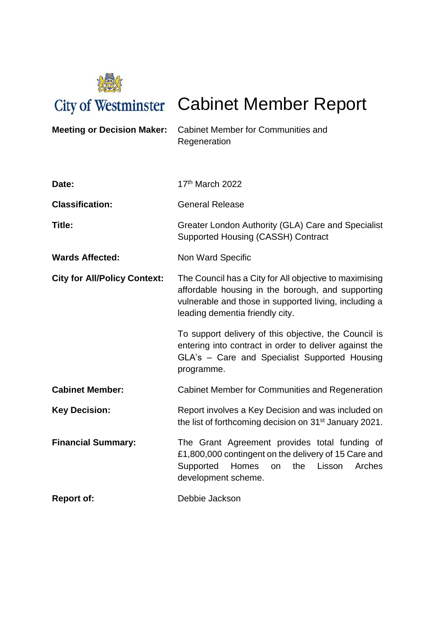

City of Westminster Cabinet Member Report

| <b>Meeting or Decision Maker:</b>   | <b>Cabinet Member for Communities and</b><br>Regeneration                                                                                                                                               |
|-------------------------------------|---------------------------------------------------------------------------------------------------------------------------------------------------------------------------------------------------------|
| Date:                               | 17th March 2022                                                                                                                                                                                         |
| <b>Classification:</b>              | <b>General Release</b>                                                                                                                                                                                  |
| Title:                              | Greater London Authority (GLA) Care and Specialist<br>Supported Housing (CASSH) Contract                                                                                                                |
| <b>Wards Affected:</b>              | Non Ward Specific                                                                                                                                                                                       |
| <b>City for All/Policy Context:</b> | The Council has a City for All objective to maximising<br>affordable housing in the borough, and supporting<br>vulnerable and those in supported living, including a<br>leading dementia friendly city. |
|                                     | To support delivery of this objective, the Council is<br>entering into contract in order to deliver against the<br>GLA's - Care and Specialist Supported Housing<br>programme.                          |
| <b>Cabinet Member:</b>              | <b>Cabinet Member for Communities and Regeneration</b>                                                                                                                                                  |
| <b>Key Decision:</b>                | Report involves a Key Decision and was included on<br>the list of forthcoming decision on 31 <sup>st</sup> January 2021.                                                                                |
| <b>Financial Summary:</b>           | The Grant Agreement provides total funding of<br>£1,800,000 contingent on the delivery of 15 Care and<br>Homes<br>Supported<br>the<br>Lisson<br>Arches<br>on<br>development scheme.                     |
| <b>Report of:</b>                   | Debbie Jackson                                                                                                                                                                                          |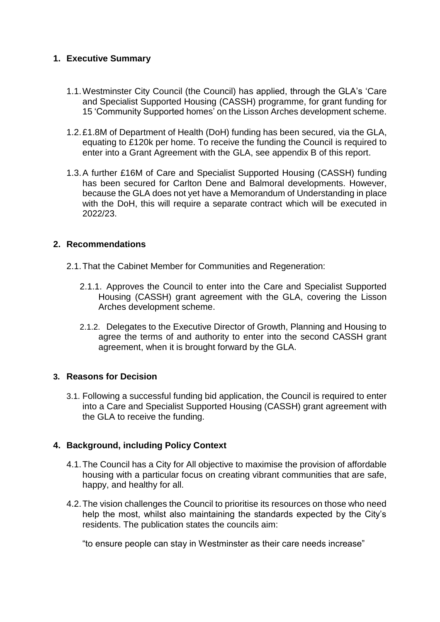# **1. Executive Summary**

- 1.1.Westminster City Council (the Council) has applied, through the GLA's 'Care and Specialist Supported Housing (CASSH) programme, for grant funding for 15 'Community Supported homes' on the Lisson Arches development scheme.
- 1.2.£1.8M of Department of Health (DoH) funding has been secured, via the GLA, equating to £120k per home. To receive the funding the Council is required to enter into a Grant Agreement with the GLA, see appendix B of this report.
- 1.3.A further £16M of Care and Specialist Supported Housing (CASSH) funding has been secured for Carlton Dene and Balmoral developments. However, because the GLA does not yet have a Memorandum of Understanding in place with the DoH, this will require a separate contract which will be executed in 2022/23.

### **2. Recommendations**

- 2.1.That the Cabinet Member for Communities and Regeneration:
	- 2.1.1. Approves the Council to enter into the Care and Specialist Supported Housing (CASSH) grant agreement with the GLA, covering the Lisson Arches development scheme.
	- 2.1.2. Delegates to the Executive Director of Growth, Planning and Housing to agree the terms of and authority to enter into the second CASSH grant agreement, when it is brought forward by the GLA.

### **3. Reasons for Decision**

3.1. Following a successful funding bid application, the Council is required to enter into a Care and Specialist Supported Housing (CASSH) grant agreement with the GLA to receive the funding.

### **4. Background, including Policy Context**

- 4.1.The Council has a City for All objective to maximise the provision of affordable housing with a particular focus on creating vibrant communities that are safe, happy, and healthy for all.
- 4.2.The vision challenges the Council to prioritise its resources on those who need help the most, whilst also maintaining the standards expected by the City's residents. The publication states the councils aim:

"to ensure people can stay in Westminster as their care needs increase"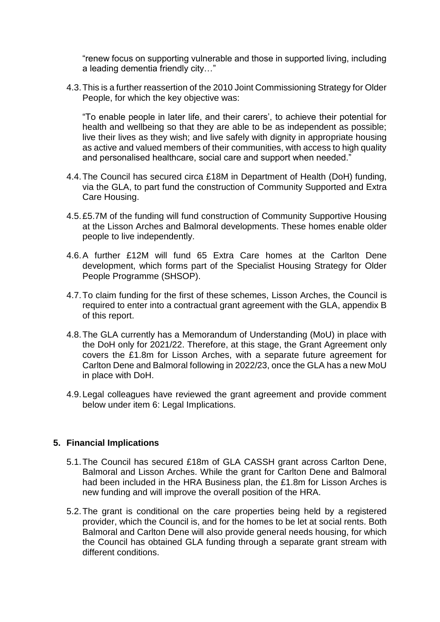"renew focus on supporting vulnerable and those in supported living, including a leading dementia friendly city…"

4.3.This is a further reassertion of the 2010 Joint Commissioning Strategy for Older People, for which the key objective was:

"To enable people in later life, and their carers', to achieve their potential for health and wellbeing so that they are able to be as independent as possible; live their lives as they wish; and live safely with dignity in appropriate housing as active and valued members of their communities, with access to high quality and personalised healthcare, social care and support when needed."

- 4.4.The Council has secured circa £18M in Department of Health (DoH) funding, via the GLA, to part fund the construction of Community Supported and Extra Care Housing.
- 4.5.£5.7M of the funding will fund construction of Community Supportive Housing at the Lisson Arches and Balmoral developments. These homes enable older people to live independently.
- 4.6.A further £12M will fund 65 Extra Care homes at the Carlton Dene development, which forms part of the Specialist Housing Strategy for Older People Programme (SHSOP).
- 4.7.To claim funding for the first of these schemes, Lisson Arches, the Council is required to enter into a contractual grant agreement with the GLA, appendix B of this report.
- 4.8.The GLA currently has a Memorandum of Understanding (MoU) in place with the DoH only for 2021/22. Therefore, at this stage, the Grant Agreement only covers the £1.8m for Lisson Arches, with a separate future agreement for Carlton Dene and Balmoral following in 2022/23, once the GLA has a new MoU in place with DoH.
- 4.9.Legal colleagues have reviewed the grant agreement and provide comment below under item 6: Legal Implications.

### **5. Financial Implications**

- 5.1.The Council has secured £18m of GLA CASSH grant across Carlton Dene, Balmoral and Lisson Arches. While the grant for Carlton Dene and Balmoral had been included in the HRA Business plan, the £1.8m for Lisson Arches is new funding and will improve the overall position of the HRA.
- 5.2.The grant is conditional on the care properties being held by a registered provider, which the Council is, and for the homes to be let at social rents. Both Balmoral and Carlton Dene will also provide general needs housing, for which the Council has obtained GLA funding through a separate grant stream with different conditions.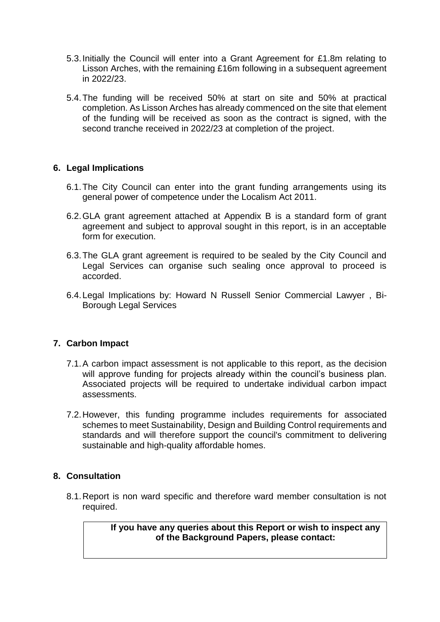- 5.3.Initially the Council will enter into a Grant Agreement for £1.8m relating to Lisson Arches, with the remaining £16m following in a subsequent agreement in 2022/23.
- 5.4.The funding will be received 50% at start on site and 50% at practical completion. As Lisson Arches has already commenced on the site that element of the funding will be received as soon as the contract is signed, with the second tranche received in 2022/23 at completion of the project.

## **6. Legal Implications**

- 6.1.The City Council can enter into the grant funding arrangements using its general power of competence under the Localism Act 2011.
- 6.2.GLA grant agreement attached at Appendix B is a standard form of grant agreement and subject to approval sought in this report, is in an acceptable form for execution.
- 6.3.The GLA grant agreement is required to be sealed by the City Council and Legal Services can organise such sealing once approval to proceed is accorded.
- 6.4.Legal Implications by: Howard N Russell Senior Commercial Lawyer , Bi-Borough Legal Services

### **7. Carbon Impact**

- 7.1.A carbon impact assessment is not applicable to this report, as the decision will approve funding for projects already within the council's business plan. Associated projects will be required to undertake individual carbon impact assessments.
- 7.2.However, this funding programme includes requirements for associated schemes to meet Sustainability, Design and Building Control requirements and standards and will therefore support the council's commitment to delivering sustainable and high-quality affordable homes.

## **8. Consultation**

8.1.Report is non ward specific and therefore ward member consultation is not required.

> **If you have any queries about this Report or wish to inspect any of the Background Papers, please contact:**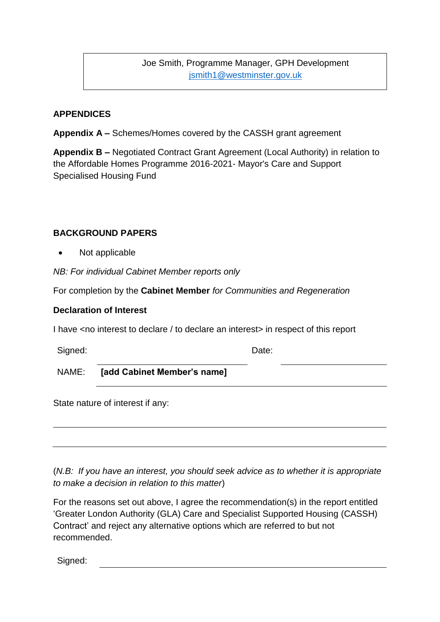Joe Smith, Programme Manager, GPH Development [jsmith1@westminster.gov.uk](mailto:jsmith1@westminster.gov.uk)

# **APPENDICES**

**Appendix A –** Schemes/Homes covered by the CASSH grant agreement

**Appendix B –** Negotiated Contract Grant Agreement (Local Authority) in relation to the Affordable Homes Programme 2016-2021- Mayor's Care and Support Specialised Housing Fund

### **BACKGROUND PAPERS**

Not applicable

*NB: For individual Cabinet Member reports only*

For completion by the **Cabinet Member** *for Communities and Regeneration*

#### **Declaration of Interest**

I have <no interest to declare / to declare an interest in respect of this report

Signed: Date:

NAME: **[add Cabinet Member's name]**

State nature of interest if any:

(*N.B: If you have an interest, you should seek advice as to whether it is appropriate to make a decision in relation to this matter*)

For the reasons set out above, I agree the recommendation(s) in the report entitled 'Greater London Authority (GLA) Care and Specialist Supported Housing (CASSH) Contract' and reject any alternative options which are referred to but not recommended.

Signed: